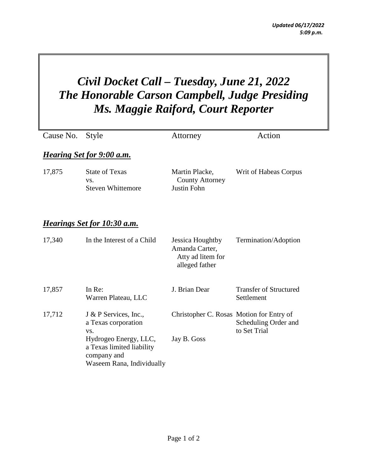## *Civil Docket Call – Tuesday, June 21, 2022 The Honorable Carson Campbell, Judge Presiding Ms. Maggie Raiford, Court Reporter*

| Cause No.                          | <b>Style</b>                                                                                                                                          | Attorney                                                                  | Action                                      |  |  |
|------------------------------------|-------------------------------------------------------------------------------------------------------------------------------------------------------|---------------------------------------------------------------------------|---------------------------------------------|--|--|
| <b>Hearing Set for 9:00 a.m.</b>   |                                                                                                                                                       |                                                                           |                                             |  |  |
| 17,875                             | <b>State of Texas</b><br>VS.<br><b>Steven Whittemore</b>                                                                                              | Martin Placke,<br><b>County Attorney</b><br><b>Justin Fohn</b>            | Writ of Habeas Corpus                       |  |  |
| <u>Hearings Set for 10:30 a.m.</u> |                                                                                                                                                       |                                                                           |                                             |  |  |
| 17,340                             | In the Interest of a Child                                                                                                                            | Jessica Houghtby<br>Amanda Carter,<br>Atty ad litem for<br>alleged father | Termination/Adoption                        |  |  |
| 17,857                             | In Re:<br>Warren Plateau, LLC                                                                                                                         | J. Brian Dear                                                             | <b>Transfer of Structured</b><br>Settlement |  |  |
| 17,712                             | J & P Services, Inc.,<br>a Texas corporation<br>VS.<br>Hydrogeo Energy, LLC,<br>a Texas limited liability<br>company and<br>Waseem Rana, Individually | Christopher C. Rosas Motion for Entry of<br>Jay B. Goss                   | Scheduling Order and<br>to Set Trial        |  |  |